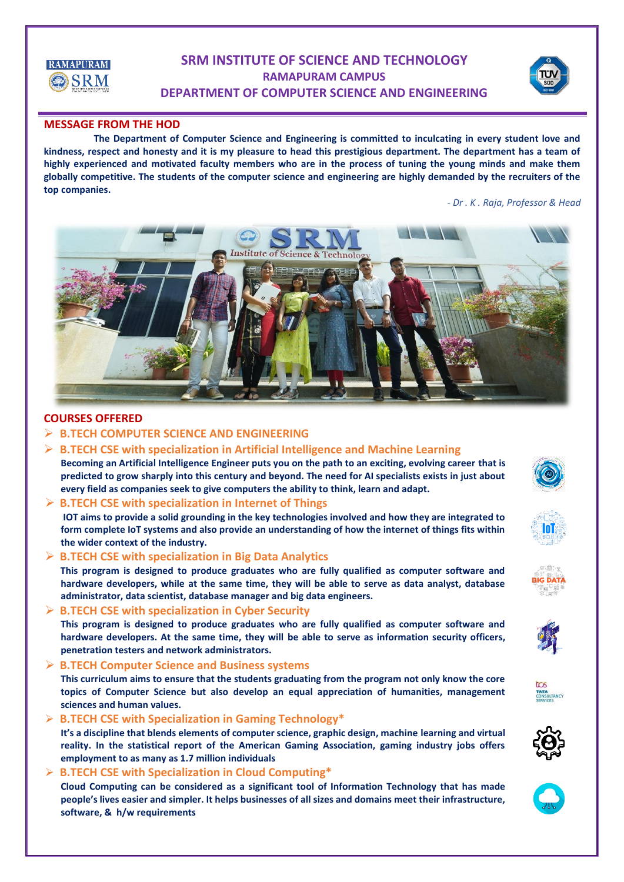# **SRM INSTITUTE OF SCIENCE AND TECHNOLOGY RAMAPURAM CAMPUS DEPARTMENT OF COMPUTER SCIENCE AND ENGINEERING**

## **MESSAGE FROM THE HOD**

**RAMAPURAM** © SRM

 **The Department of Computer Science and Engineering is committed to inculcating in every student love and kindness, respect and honesty and it is my pleasure to head this prestigious department. The department has a team of highly experienced and motivated faculty members who are in the process of tuning the young minds and make them globally competitive. The students of the computer science and engineering are highly demanded by the recruiters of the top companies.**

*- Dr . K . Raja, Professor & Head*



### **COURSES OFFERED**

### **B.TECH COMPUTER SCIENCE AND ENGINEERING**

- **B.TECH CSE with specialization in Artificial Intelligence and Machine Learning**
- **Becoming an Artificial Intelligence Engineer puts you on the path to an exciting, evolving career that is predicted to grow sharply into this century and beyond. The need for AI specialists exists in just about every field as companies seek to give computers the ability to think, learn and adapt.**
- **B.TECH CSE with specialization in Internet of Things**

**IOT aims to provide a solid grounding in the key technologies involved and how they are integrated to form complete IoT systems and also provide an understanding of how the internet of things fits within the wider context of the industry.**

**B.TECH CSE with specialization in Big Data Analytics**

 **This program is designed to produce graduates who are fully qualified as computer software and hardware developers, while at the same time, they will be able to serve as data analyst, database administrator, data scientist, database manager and big data engineers.**

**B.TECH CSE with specialization in Cyber Security**

**This program is designed to produce graduates who are fully qualified as computer software and hardware developers. At the same time, they will be able to serve as information security officers, penetration testers and network administrators.**

**B.TECH Computer Science and Business systems**

**This curriculum aims to ensure that the students graduating from the program not only know the core topics of Computer Science but also develop an equal appreciation of humanities, management sciences and human values.**

**B.TECH CSE with Specialization in Gaming Technology\***

**It's a discipline that blends elements of computer science, graphic design, machine learning and virtual reality. In the statistical report of the American Gaming Association, gaming industry jobs offers employment to as many as 1.7 million individuals**

**B.TECH CSE with Specialization in Cloud Computing\***

**Cloud Computing can be considered as a significant tool of Information Technology that has made people's lives easier and simpler. It helps businesses of all sizes and domains meet their infrastructure, software, & h/w requirements**













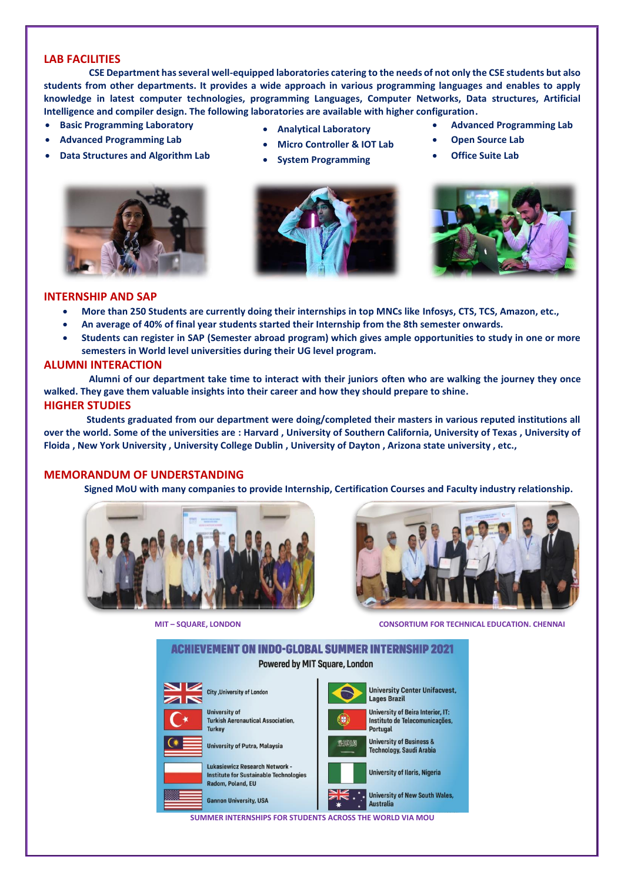### **LAB FACILITIES**

 **CSE Department has several well-equipped laboratories catering to the needs of not only the CSE students but also students from other departments. It provides a wide approach in various programming languages and enables to apply knowledge in latest computer technologies, programming Languages, Computer Networks, Data structures, Artificial Intelligence and compiler design. The following laboratories are available with higher configuration.**

- **Basic Programming Laboratory**
- **Advanced Programming Lab**
- **Data Structures and Algorithm Lab**



- **Analytical Laboratory**
- **Micro Controller & IOT Lab**
- **System Programming**
- **Advanced Programming Lab**
- **Open Source Lab**
- **Office Suite Lab**





#### **INTERNSHIP AND SAP**

- **More than 250 Students are currently doing their internships in top MNCs like Infosys, CTS, TCS, Amazon, etc.,**
	- **An average of 40% of final year students started their Internship from the 8th semester onwards.**
- **Students can register in SAP (Semester abroad program) which gives ample opportunities to study in one or more semesters in World level universities during their UG level program.**

#### **ALUMNI INTERACTION**

 **Alumni of our department take time to interact with their juniors often who are walking the journey they once walked. They gave them valuable insights into their career and how they should prepare to shine. HIGHER STUDIES**

 **Students graduated from our department were doing/completed their masters in various reputed institutions all over the world. Some of the universities are : Harvard , University of Southern California, University of Texas , University of Floida , New York University , University College Dublin , University of Dayton , Arizona state university , etc.,**

### **MEMORANDUM OF UNDERSTANDING**

 **Signed MoU with many companies to provide Internship, Certification Courses and Faculty industry relationship.**





**MIT – SQUARE, LONDON CONSORTIUM FOR TECHNICAL EDUCATION. CHENNAI**